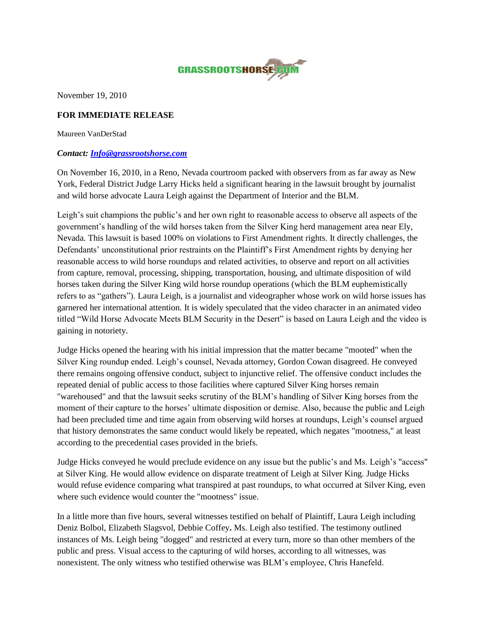

November 19, 2010

## **FOR IMMEDIATE RELEASE**

Maureen VanDerStad

## *Contact: [Info@grassrootshorse.com](mailto:Info@grassrootshorse.com)*

On November 16, 2010, in a Reno, Nevada courtroom packed with observers from as far away as New York, Federal District Judge Larry Hicks held a significant hearing in the lawsuit brought by journalist and wild horse advocate Laura Leigh against the Department of Interior and the BLM.

Leigh's suit champions the public's and her own right to reasonable access to observe all aspects of the government's handling of the wild horses taken from the Silver King herd management area near Ely, Nevada. This lawsuit is based 100% on violations to First Amendment rights. It directly challenges, the Defendants' unconstitutional prior restraints on the Plaintiff's First Amendment rights by denying her reasonable access to wild horse roundups and related activities, to observe and report on all activities from capture, removal, processing, shipping, transportation, housing, and ultimate disposition of wild horses taken during the Silver King wild horse roundup operations (which the BLM euphemistically refers to as "gathers"). Laura Leigh, is a journalist and videographer whose work on wild horse issues has garnered her international attention. It is widely speculated that the video character in an animated video titled "Wild Horse Advocate Meets BLM Security in the Desert" is based on Laura Leigh and the video is gaining in notoriety.

Judge Hicks opened the hearing with his initial impression that the matter became "mooted" when the Silver King roundup ended. Leigh's counsel, Nevada attorney, Gordon Cowan disagreed. He conveyed there remains ongoing offensive conduct, subject to injunctive relief. The offensive conduct includes the repeated denial of public access to those facilities where captured Silver King horses remain "warehoused" and that the lawsuit seeks scrutiny of the BLM's handling of Silver King horses from the moment of their capture to the horses' ultimate disposition or demise. Also, because the public and Leigh had been precluded time and time again from observing wild horses at roundups, Leigh's counsel argued that history demonstrates the same conduct would likely be repeated, which negates "mootness," at least according to the precedential cases provided in the briefs.

Judge Hicks conveyed he would preclude evidence on any issue but the public's and Ms. Leigh's "access" at Silver King. He would allow evidence on disparate treatment of Leigh at Silver King. Judge Hicks would refuse evidence comparing what transpired at past roundups, to what occurred at Silver King, even where such evidence would counter the "mootness" issue.

In a little more than five hours, several witnesses testified on behalf of Plaintiff, Laura Leigh including Deniz Bolbol, Elizabeth Slagsvol, Debbie Coffey**.** Ms. Leigh also testified. The testimony outlined instances of Ms. Leigh being "dogged" and restricted at every turn, more so than other members of the public and press. Visual access to the capturing of wild horses, according to all witnesses, was nonexistent. The only witness who testified otherwise was BLM's employee, Chris Hanefeld.